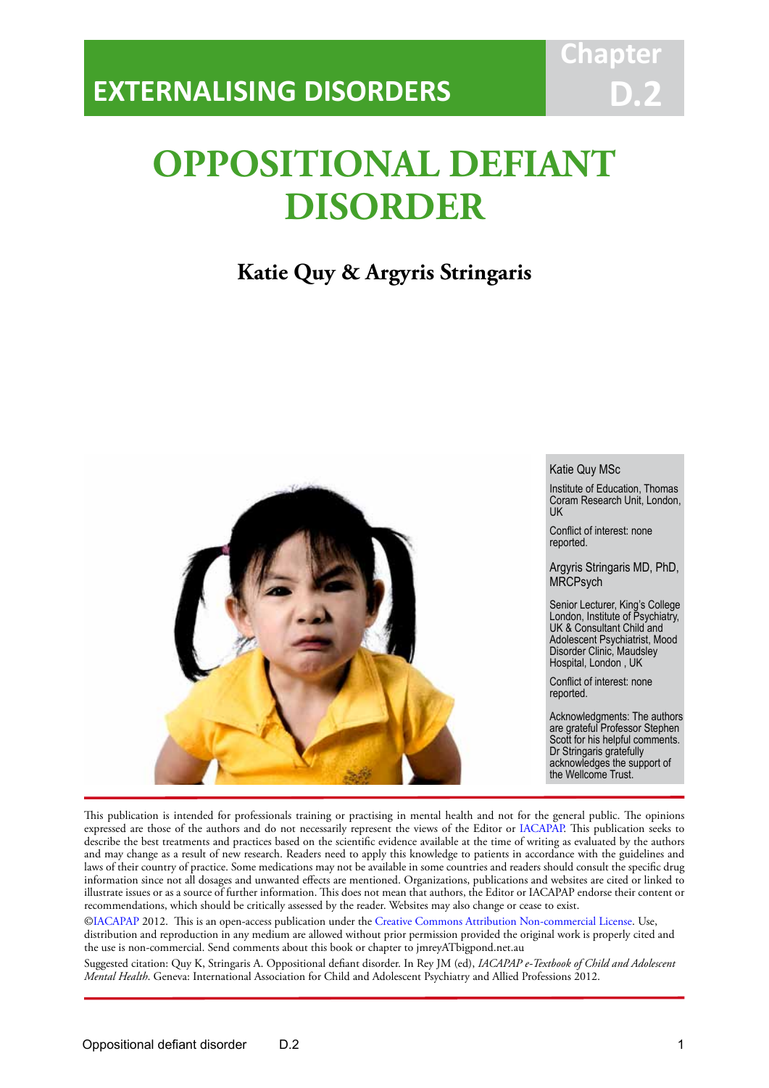# **OPPOSITIONAL DEFIANT DISORDER**

IACAPAP Textbook of Child and Adolescent Mental Health

**Chapter**

**D.2**

## **Katie Quy & Argyris Stringaris**



This publication is intended for professionals training or practising in mental health and not for the general public. The opinions expressed are those of the authors and do not necessarily represent the views of the Editor or IACAPAP. This publication seeks to describe the best treatments and practices based on the scientific evidence available at the time of writing as evaluated by the authors and may change as a result of new research. Readers need to apply this knowledge to patients in accordance with the guidelines and laws of their country of practice. Some medications may not be available in some countries and readers should consult the specific drug information since not all dosages and unwanted effects are mentioned. Organizations, publications and websites are cited or linked to illustrate issues or as a source of further information. This does not mean that authors, the Editor or IACAPAP endorse their content or recommendations, which should be critically assessed by the reader. Websites may also change or cease to exist.

[©IACAPAP](http://iacapap.org) 2012. This is an open-access publication under the [Creative Commons Attribution Non-commercial License](http://creativecommons.org). Use, distribution and reproduction in any medium are allowed without prior permission provided the original work is properly cited and the use is non-commercial. Send comments about this book or chapter to jmreyATbigpond.net.au

Suggested citation: Quy K, Stringaris A. Oppositional defiant disorder. In Rey JM (ed), *IACAPAP e-Textbook of Child and Adolescent Mental Health*. Geneva: International Association for Child and Adolescent Psychiatry and Allied Professions 2012.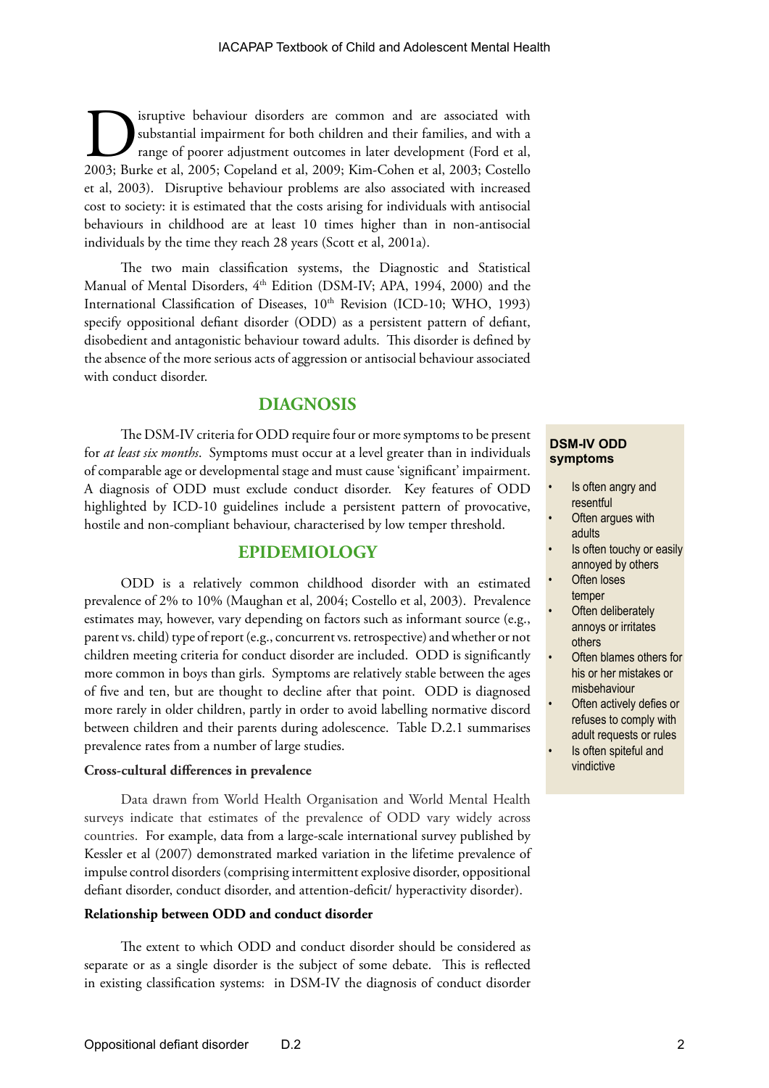Sixtem is dependent of the disorders are common and are associated with substantial impairment for both children and their families, and with a range of poorer adjustment outcomes in later development (Ford et al, 2003; Bu substantial impairment for both children and their families, and with a range of poorer adjustment outcomes in later development (Ford et al, 2003; Burke et al, 2005; Copeland et al, 2009; Kim-Cohen et al, 2003; Costello et al, 2003). Disruptive behaviour problems are also associated with increased cost to society: it is estimated that the costs arising for individuals with antisocial behaviours in childhood are at least 10 times higher than in non-antisocial individuals by the time they reach 28 years (Scott et al, 2001a).

The two main classification systems, the Diagnostic and Statistical Manual of Mental Disorders,  $4<sup>th</sup>$  Edition (DSM-IV; APA, 1994, 2000) and the International Classification of Diseases, 10<sup>th</sup> Revision (ICD-10; WHO, 1993) specify oppositional defiant disorder (ODD) as a persistent pattern of defiant, disobedient and antagonistic behaviour toward adults. This disorder is defined by the absence of the more serious acts of aggression or antisocial behaviour associated with conduct disorder.

### **DIAGNOSIS**

The DSM-IV criteria for ODD require four or more symptoms to be present for *at least six months*. Symptoms must occur at a level greater than in individuals of comparable age or developmental stage and must cause 'significant' impairment. A diagnosis of ODD must exclude conduct disorder. Key features of ODD highlighted by ICD-10 guidelines include a persistent pattern of provocative, hostile and non-compliant behaviour, characterised by low temper threshold.

### **EPIDEMIOLOGY**

ODD is a relatively common childhood disorder with an estimated prevalence of 2% to 10% (Maughan et al, 2004; Costello et al, 2003). Prevalence estimates may, however, vary depending on factors such as informant source (e.g., parent vs. child) type of report (e.g., concurrent vs. retrospective) and whether or not children meeting criteria for conduct disorder are included. ODD is significantly more common in boys than girls. Symptoms are relatively stable between the ages of five and ten, but are thought to decline after that point. ODD is diagnosed more rarely in older children, partly in order to avoid labelling normative discord between children and their parents during adolescence. Table D.2.1 summarises prevalence rates from a number of large studies.

### **Cross-cultural differences in prevalence**

Data drawn from World Health Organisation and World Mental Health surveys indicate that estimates of the prevalence of ODD vary widely across countries. For example, data from a large-scale international survey published by Kessler et al (2007) demonstrated marked variation in the lifetime prevalence of impulse control disorders (comprising intermittent explosive disorder, oppositional defiant disorder, conduct disorder, and attention-deficit/ hyperactivity disorder).

#### **Relationship between ODD and conduct disorder**

The extent to which ODD and conduct disorder should be considered as separate or as a single disorder is the subject of some debate. This is reflected in existing classification systems: in DSM-IV the diagnosis of conduct disorder

### **DSM-IV ODD symptoms**

- Is often angry and resentful
- Often argues with adults
- Is often touchy or easily annoyed by others
- **Often loses** temper
- **Often deliberately** annoys or irritates others
- Often blames others for his or her mistakes or misbehaviour
- Often actively defies or refuses to comply with adult requests or rules
- Is often spiteful and vindictive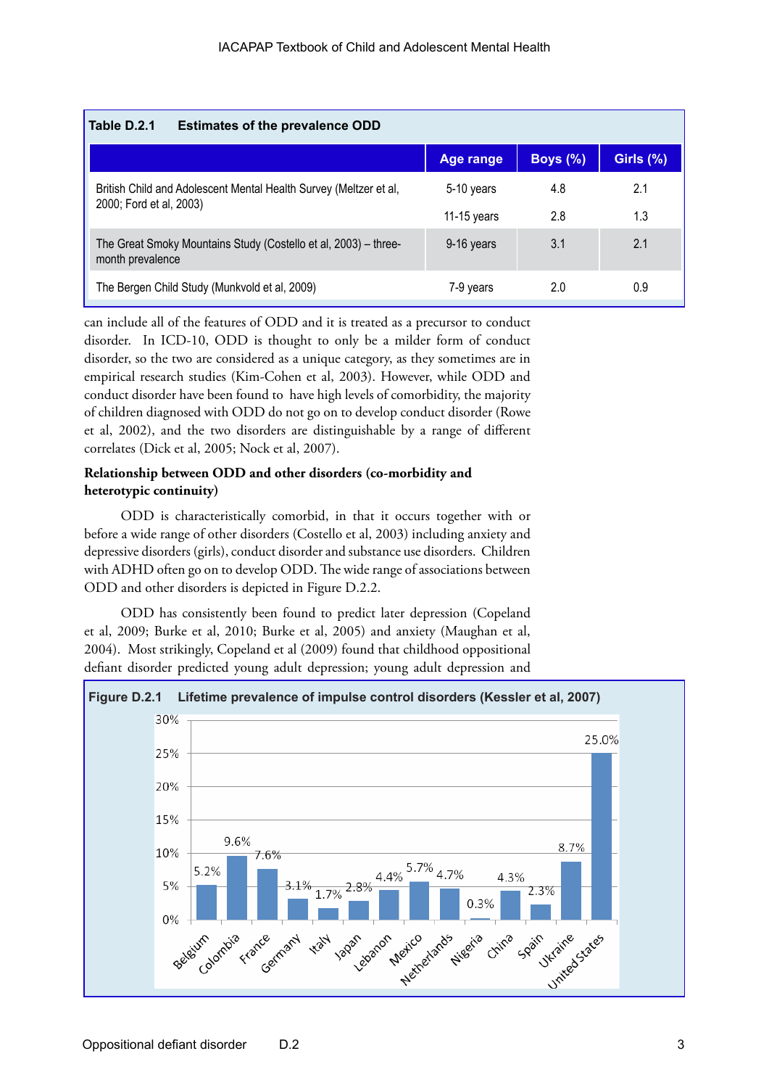| Table D.2.1<br><b>Estimates of the prevalence ODD</b>                               |             |             |              |
|-------------------------------------------------------------------------------------|-------------|-------------|--------------|
|                                                                                     | Age range   | Boys $(\%)$ | Girls $(\%)$ |
| British Child and Adolescent Mental Health Survey (Meltzer et al,                   | 5-10 years  | 4.8         | 2.1          |
| 2000; Ford et al, 2003)                                                             | 11-15 years | 2.8         | 1.3          |
| The Great Smoky Mountains Study (Costello et al, 2003) – three-<br>month prevalence | 9-16 years  | 3.1         | 2.1          |
| The Bergen Child Study (Munkvold et al, 2009)                                       | 7-9 years   | 2.0         | 0.9          |

can include all of the features of ODD and it is treated as a precursor to conduct disorder. In ICD-10, ODD is thought to only be a milder form of conduct disorder, so the two are considered as a unique category, as they sometimes are in empirical research studies (Kim-Cohen et al, 2003). However, while ODD and conduct disorder have been found to have high levels of comorbidity, the majority of children diagnosed with ODD do not go on to develop conduct disorder (Rowe et al, 2002), and the two disorders are distinguishable by a range of different correlates (Dick et al, 2005; Nock et al, 2007).

### **Relationship between ODD and other disorders (co-morbidity and heterotypic continuity)**

ODD is characteristically comorbid, in that it occurs together with or before a wide range of other disorders (Costello et al, 2003) including anxiety and depressive disorders (girls), conduct disorder and substance use disorders. Children with ADHD often go on to develop ODD. The wide range of associations between ODD and other disorders is depicted in Figure D.2.2.

ODD has consistently been found to predict later depression (Copeland et al, 2009; Burke et al, 2010; Burke et al, 2005) and anxiety (Maughan et al, 2004). Most strikingly, Copeland et al (2009) found that childhood oppositional defiant disorder predicted young adult depression; young adult depression and

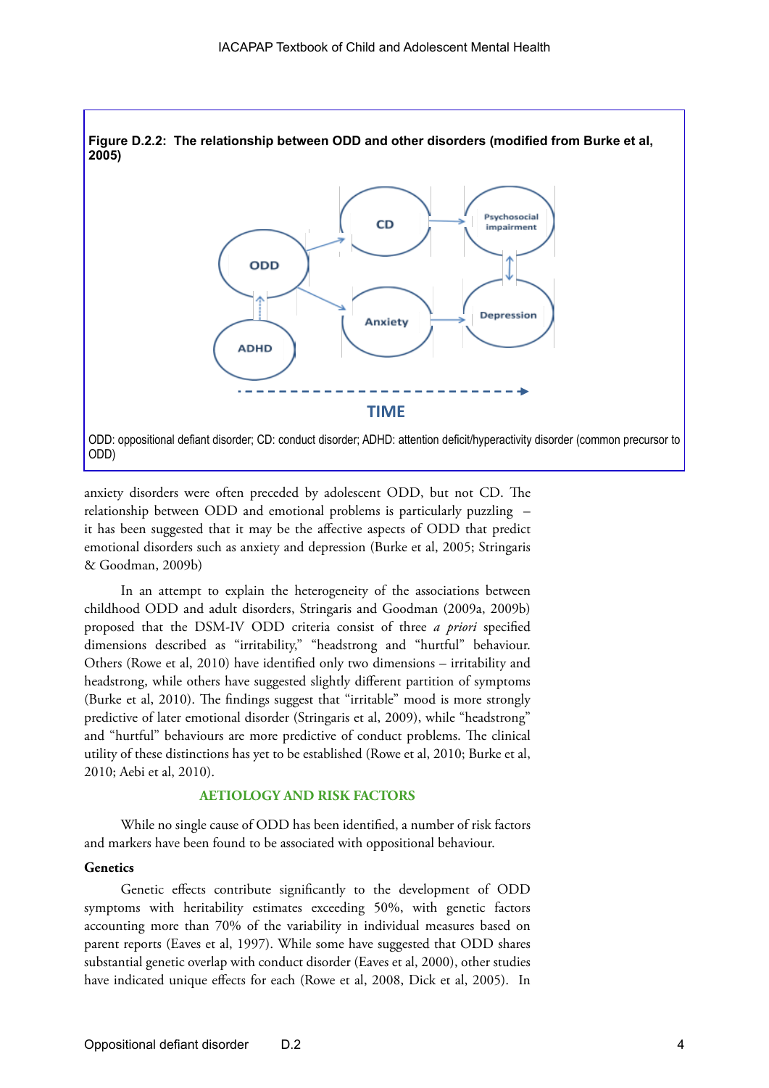

anxiety disorders were often preceded by adolescent ODD, but not CD. The relationship between ODD and emotional problems is particularly puzzling – it has been suggested that it may be the affective aspects of ODD that predict emotional disorders such as anxiety and depression (Burke et al, 2005; Stringaris & Goodman, 2009b)

In an attempt to explain the heterogeneity of the associations between childhood ODD and adult disorders, Stringaris and Goodman (2009a, 2009b) proposed that the DSM-IV ODD criteria consist of three *a priori* specified dimensions described as "irritability," "headstrong and "hurtful" behaviour. Others (Rowe et al, 2010) have identified only two dimensions – irritability and headstrong, while others have suggested slightly different partition of symptoms (Burke et al, 2010). The findings suggest that "irritable" mood is more strongly predictive of later emotional disorder (Stringaris et al, 2009), while "headstrong" and "hurtful" behaviours are more predictive of conduct problems. The clinical utility of these distinctions has yet to be established (Rowe et al, 2010; Burke et al, 2010; Aebi et al, 2010).

### **AETIOLOGY AND RISK FACTORS**

While no single cause of ODD has been identified, a number of risk factors and markers have been found to be associated with oppositional behaviour.

### **Genetics**

Genetic effects contribute significantly to the development of ODD symptoms with heritability estimates exceeding 50%, with genetic factors accounting more than 70% of the variability in individual measures based on parent reports (Eaves et al, 1997). While some have suggested that ODD shares substantial genetic overlap with conduct disorder (Eaves et al, 2000), other studies have indicated unique effects for each (Rowe et al, 2008, Dick et al, 2005). In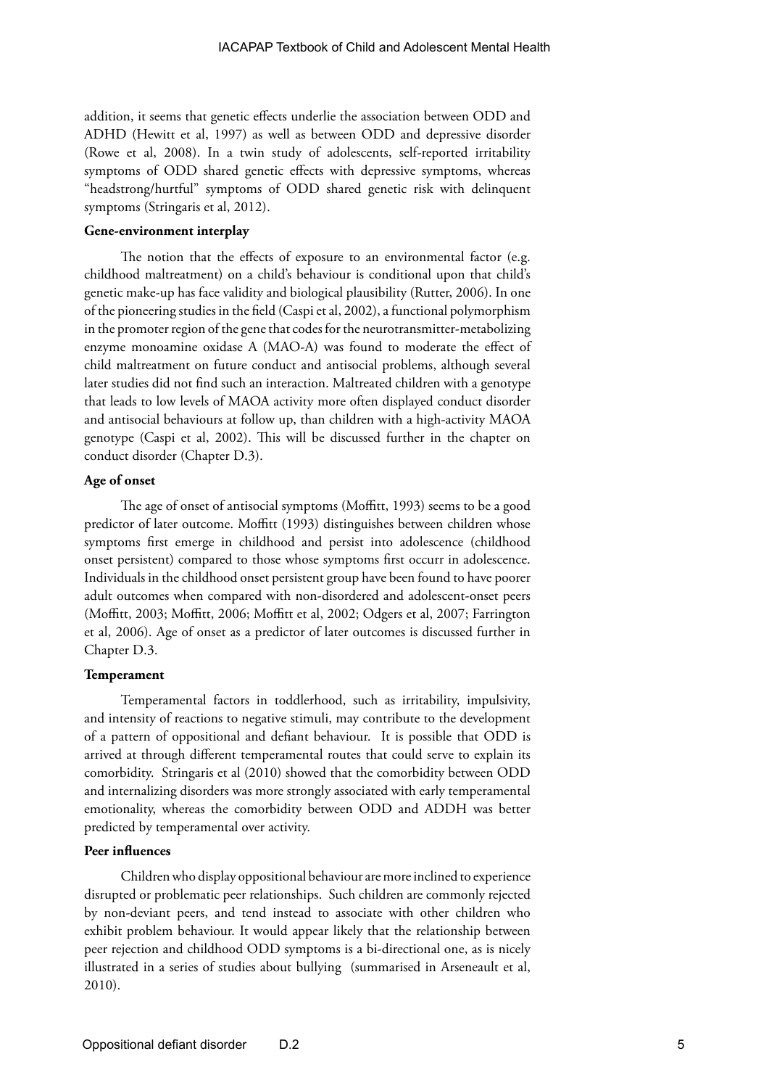addition, it seems that genetic effects underlie the association between ODD and ADHD (Hewitt et al, 1997) as well as between ODD and depressive disorder (Rowe et al, 2008). In a twin study of adolescents, self-reported irritability symptoms of ODD shared genetic effects with depressive symptoms, whereas "headstrong/hurtful" symptoms of ODD shared genetic risk with delinquent symptoms (Stringaris et al, 2012).

#### **Gene-environment interplay**

The notion that the effects of exposure to an environmental factor (e.g. childhood maltreatment) on a child's behaviour is conditional upon that child's genetic make-up has face validity and biological plausibility (Rutter, 2006). In one of the pioneering studies in the field (Caspi et al, 2002), a functional polymorphism in the promoter region of the gene that codes for the neurotransmitter-metabolizing enzyme monoamine oxidase A (MAO-A) was found to moderate the effect of child maltreatment on future conduct and antisocial problems, although several later studies did not find such an interaction. Maltreated children with a genotype that leads to low levels of MAOA activity more often displayed conduct disorder and antisocial behaviours at follow up, than children with a high-activity MAOA genotype (Caspi et al, 2002). This will be discussed further in the chapter on conduct disorder (Chapter D.3).

### **Age of onset**

The age of onset of antisocial symptoms (Moffitt, 1993) seems to be a good predictor of later outcome. Moffitt (1993) distinguishes between children whose symptoms first emerge in childhood and persist into adolescence (childhood onset persistent) compared to those whose symptoms first occurr in adolescence. Individuals in the childhood onset persistent group have been found to have poorer adult outcomes when compared with non-disordered and adolescent-onset peers (Moffitt, 2003; Moffitt, 2006; Moffitt et al, 2002; Odgers et al, 2007; Farrington et al, 2006). Age of onset as a predictor of later outcomes is discussed further in Chapter D.3.

#### **Temperament**

Temperamental factors in toddlerhood, such as irritability, impulsivity, and intensity of reactions to negative stimuli, may contribute to the development of a pattern of oppositional and defiant behaviour. It is possible that ODD is arrived at through different temperamental routes that could serve to explain its comorbidity. Stringaris et al (2010) showed that the comorbidity between ODD and internalizing disorders was more strongly associated with early temperamental emotionality, whereas the comorbidity between ODD and ADDH was better predicted by temperamental over activity.

### **Peer influences**

Children who display oppositional behaviour are more inclined to experience disrupted or problematic peer relationships. Such children are commonly rejected by non-deviant peers, and tend instead to associate with other children who exhibit problem behaviour. It would appear likely that the relationship between peer rejection and childhood ODD symptoms is a bi-directional one, as is nicely illustrated in a series of studies about bullying (summarised in Arseneault et al, 2010).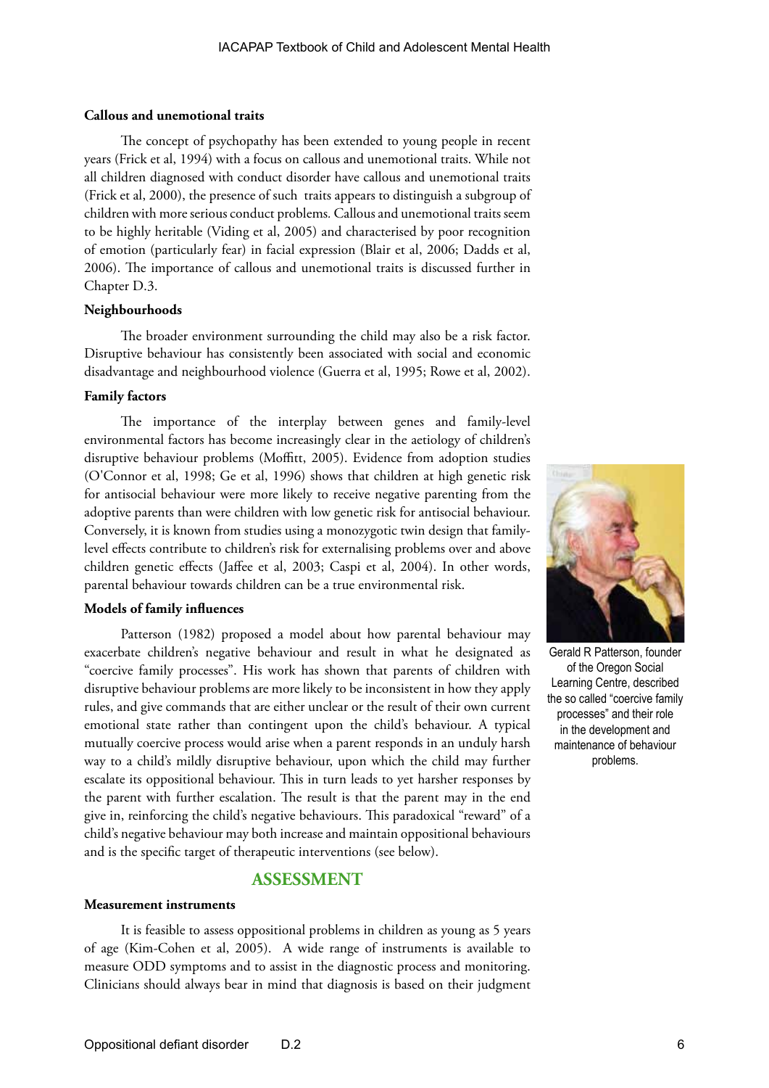### **Callous and unemotional traits**

The concept of psychopathy has been extended to young people in recent years (Frick et al, 1994) with a focus on callous and unemotional traits. While not all children diagnosed with conduct disorder have callous and unemotional traits (Frick et al, 2000), the presence of such traits appears to distinguish a subgroup of children with more serious conduct problems*.* Callous and unemotional traits seem to be highly heritable (Viding et al, 2005) and characterised by poor recognition of emotion (particularly fear) in facial expression (Blair et al, 2006; Dadds et al, 2006). The importance of callous and unemotional traits is discussed further in Chapter D.3.

### **Neighbourhoods**

The broader environment surrounding the child may also be a risk factor. Disruptive behaviour has consistently been associated with social and economic disadvantage and neighbourhood violence (Guerra et al, 1995; Rowe et al, 2002).

### **Family factors**

The importance of the interplay between genes and family-level environmental factors has become increasingly clear in the aetiology of children's disruptive behaviour problems (Moffitt, 2005). Evidence from adoption studies (O'Connor et al, 1998; Ge et al, 1996) shows that children at high genetic risk for antisocial behaviour were more likely to receive negative parenting from the adoptive parents than were children with low genetic risk for antisocial behaviour. Conversely, it is known from studies using a monozygotic twin design that familylevel effects contribute to children's risk for externalising problems over and above children genetic effects (Jaffee et al, 2003; Caspi et al, 2004). In other words, parental behaviour towards children can be a true environmental risk.

### **Models of family influences**

Patterson (1982) proposed a model about how parental behaviour may exacerbate children's negative behaviour and result in what he designated as "coercive family processes". His work has shown that parents of children with disruptive behaviour problems are more likely to be inconsistent in how they apply rules, and give commands that are either unclear or the result of their own current emotional state rather than contingent upon the child's behaviour. A typical mutually coercive process would arise when a parent responds in an unduly harsh way to a child's mildly disruptive behaviour, upon which the child may further escalate its oppositional behaviour. This in turn leads to yet harsher responses by the parent with further escalation. The result is that the parent may in the end give in, reinforcing the child's negative behaviours. This paradoxical "reward" of a child's negative behaviour may both increase and maintain oppositional behaviours and is the specific target of therapeutic interventions (see below).

### **ASSESSMENT**

### **Measurement instruments**

It is feasible to assess oppositional problems in children as young as 5 years of age (Kim-Cohen et al, 2005). A wide range of instruments is available to measure ODD symptoms and to assist in the diagnostic process and monitoring. Clinicians should always bear in mind that diagnosis is based on their judgment



Gerald R Patterson, founder of the Oregon Social Learning Centre, described the so called "coercive family processes" and their role in the development and maintenance of behaviour problems.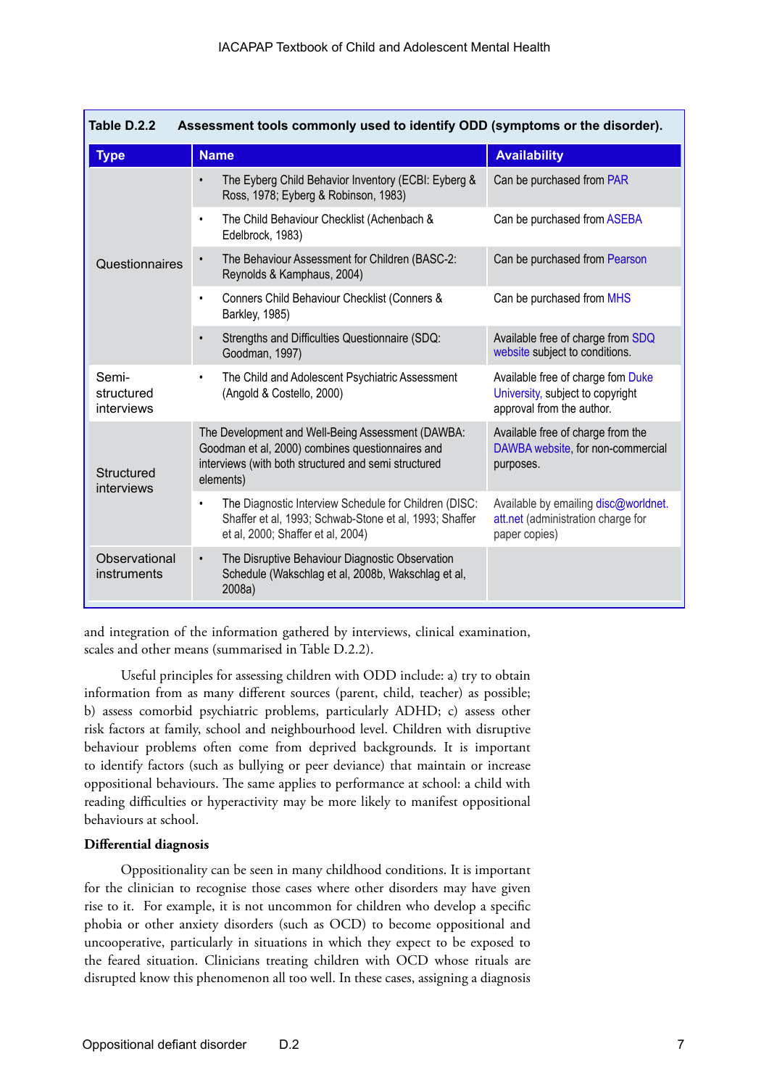| Assessment tools commonly used to identify ODD (symptoms or the disorder).<br>Table D.2.2 |                                                                                                                                                                            |                                                                                                    |  |  |
|-------------------------------------------------------------------------------------------|----------------------------------------------------------------------------------------------------------------------------------------------------------------------------|----------------------------------------------------------------------------------------------------|--|--|
| <b>Type</b>                                                                               | <b>Name</b>                                                                                                                                                                | <b>Availability</b>                                                                                |  |  |
| Questionnaires                                                                            | The Eyberg Child Behavior Inventory (ECBI: Eyberg &<br>$\bullet$<br>Ross, 1978; Eyberg & Robinson, 1983)                                                                   | Can be purchased from PAR                                                                          |  |  |
|                                                                                           | The Child Behaviour Checklist (Achenbach &<br>$\bullet$<br>Edelbrock, 1983)                                                                                                | Can be purchased from ASEBA                                                                        |  |  |
|                                                                                           | The Behaviour Assessment for Children (BASC-2:<br>$\bullet$<br>Reynolds & Kamphaus, 2004)                                                                                  | Can be purchased from Pearson                                                                      |  |  |
|                                                                                           | Conners Child Behaviour Checklist (Conners &<br>$\bullet$<br>Barkley, 1985)                                                                                                | Can be purchased from MHS                                                                          |  |  |
|                                                                                           | Strengths and Difficulties Questionnaire (SDQ:<br>$\bullet$<br>Goodman, 1997)                                                                                              | Available free of charge from SDQ<br>website subject to conditions.                                |  |  |
| Semi-<br>structured<br>interviews                                                         | The Child and Adolescent Psychiatric Assessment<br>$\bullet$<br>(Angold & Costello, 2000)                                                                                  | Available free of charge fom Duke<br>University, subject to copyright<br>approval from the author. |  |  |
| Structured<br>interviews                                                                  | The Development and Well-Being Assessment (DAWBA:<br>Goodman et al, 2000) combines questionnaires and<br>interviews (with both structured and semi structured<br>elements) | Available free of charge from the<br>DAWBA website, for non-commercial<br>purposes.                |  |  |
|                                                                                           | The Diagnostic Interview Schedule for Children (DISC:<br>$\bullet$<br>Shaffer et al, 1993; Schwab-Stone et al, 1993; Shaffer<br>et al, 2000; Shaffer et al, 2004)          | Available by emailing disc@worldnet.<br>att.net (administration charge for<br>paper copies)        |  |  |
| Observational<br>instruments                                                              | The Disruptive Behaviour Diagnostic Observation<br>$\bullet$<br>Schedule (Wakschlag et al, 2008b, Wakschlag et al,<br>2008a)                                               |                                                                                                    |  |  |

and integration of the information gathered by interviews, clinical examination, scales and other means (summarised in Table D.2.2).

Useful principles for assessing children with ODD include: a) try to obtain information from as many different sources (parent, child, teacher) as possible; b) assess comorbid psychiatric problems, particularly ADHD; c) assess other risk factors at family, school and neighbourhood level. Children with disruptive behaviour problems often come from deprived backgrounds. It is important to identify factors (such as bullying or peer deviance) that maintain or increase oppositional behaviours. The same applies to performance at school: a child with reading difficulties or hyperactivity may be more likely to manifest oppositional behaviours at school.

### **Differential diagnosis**

Oppositionality can be seen in many childhood conditions. It is important for the clinician to recognise those cases where other disorders may have given rise to it. For example, it is not uncommon for children who develop a specific phobia or other anxiety disorders (such as OCD) to become oppositional and uncooperative, particularly in situations in which they expect to be exposed to the feared situation. Clinicians treating children with OCD whose rituals are disrupted know this phenomenon all too well. In these cases, assigning a diagnosis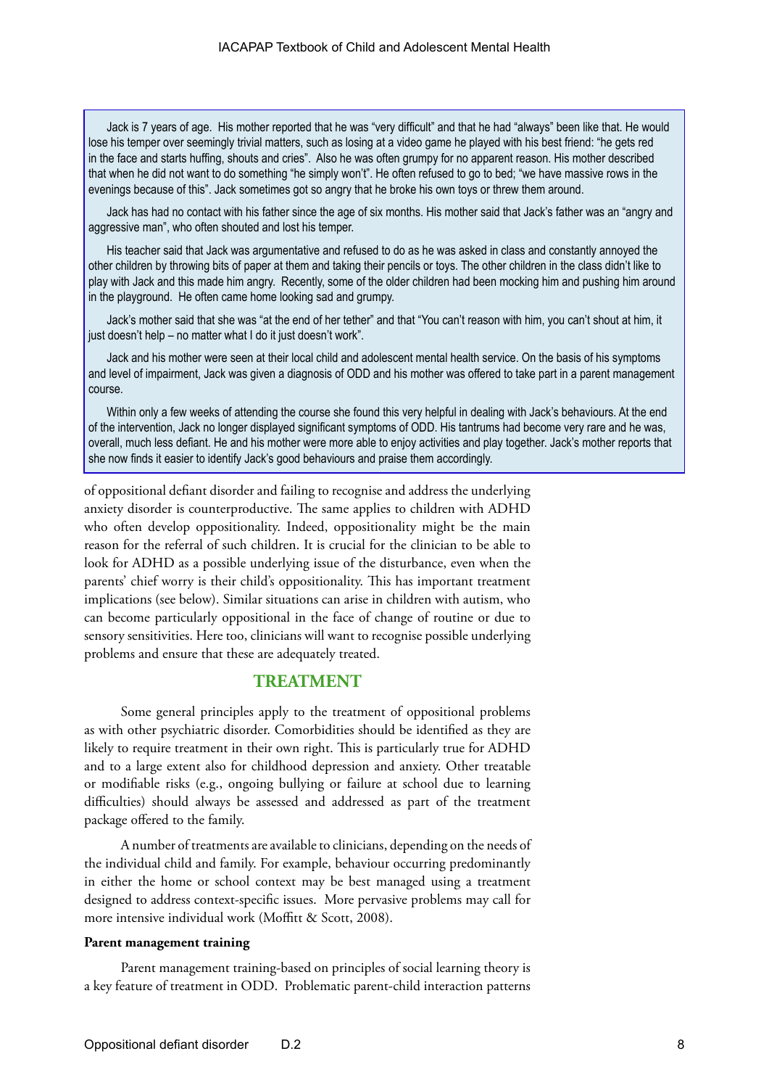Jack is 7 years of age. His mother reported that he was "very difficult" and that he had "always" been like that. He would lose his temper over seemingly trivial matters, such as losing at a video game he played with his best friend: "he gets red in the face and starts huffing, shouts and cries". Also he was often grumpy for no apparent reason. His mother described that when he did not want to do something "he simply won't". He often refused to go to bed; "we have massive rows in the evenings because of this". Jack sometimes got so angry that he broke his own toys or threw them around.

Jack has had no contact with his father since the age of six months. His mother said that Jack's father was an "angry and aggressive man", who often shouted and lost his temper.

His teacher said that Jack was argumentative and refused to do as he was asked in class and constantly annoyed the other children by throwing bits of paper at them and taking their pencils or toys. The other children in the class didn't like to play with Jack and this made him angry. Recently, some of the older children had been mocking him and pushing him around in the playground. He often came home looking sad and grumpy.

Jack's mother said that she was "at the end of her tether" and that "You can't reason with him, you can't shout at him, it just doesn't help – no matter what I do it just doesn't work".

Jack and his mother were seen at their local child and adolescent mental health service. On the basis of his symptoms and level of impairment, Jack was given a diagnosis of ODD and his mother was offered to take part in a parent management course.

Within only a few weeks of attending the course she found this very helpful in dealing with Jack's behaviours. At the end of the intervention, Jack no longer displayed significant symptoms of ODD. His tantrums had become very rare and he was, overall, much less defiant. He and his mother were more able to enjoy activities and play together. Jack's mother reports that she now finds it easier to identify Jack's good behaviours and praise them accordingly.

of oppositional defiant disorder and failing to recognise and address the underlying anxiety disorder is counterproductive. The same applies to children with ADHD who often develop oppositionality. Indeed, oppositionality might be the main reason for the referral of such children. It is crucial for the clinician to be able to look for ADHD as a possible underlying issue of the disturbance, even when the parents' chief worry is their child's oppositionality. This has important treatment implications (see below). Similar situations can arise in children with autism, who can become particularly oppositional in the face of change of routine or due to sensory sensitivities. Here too, clinicians will want to recognise possible underlying problems and ensure that these are adequately treated.

### **TREATMENT**

Some general principles apply to the treatment of oppositional problems as with other psychiatric disorder. Comorbidities should be identified as they are likely to require treatment in their own right. This is particularly true for ADHD and to a large extent also for childhood depression and anxiety. Other treatable or modifiable risks (e.g., ongoing bullying or failure at school due to learning difficulties) should always be assessed and addressed as part of the treatment package offered to the family.

A number of treatments are available to clinicians, depending on the needs of the individual child and family. For example, behaviour occurring predominantly in either the home or school context may be best managed using a treatment designed to address context-specific issues. More pervasive problems may call for more intensive individual work (Moffitt & Scott, 2008).

#### **Parent management training**

Parent management training-based on principles of social learning theory is a key feature of treatment in ODD. Problematic parent-child interaction patterns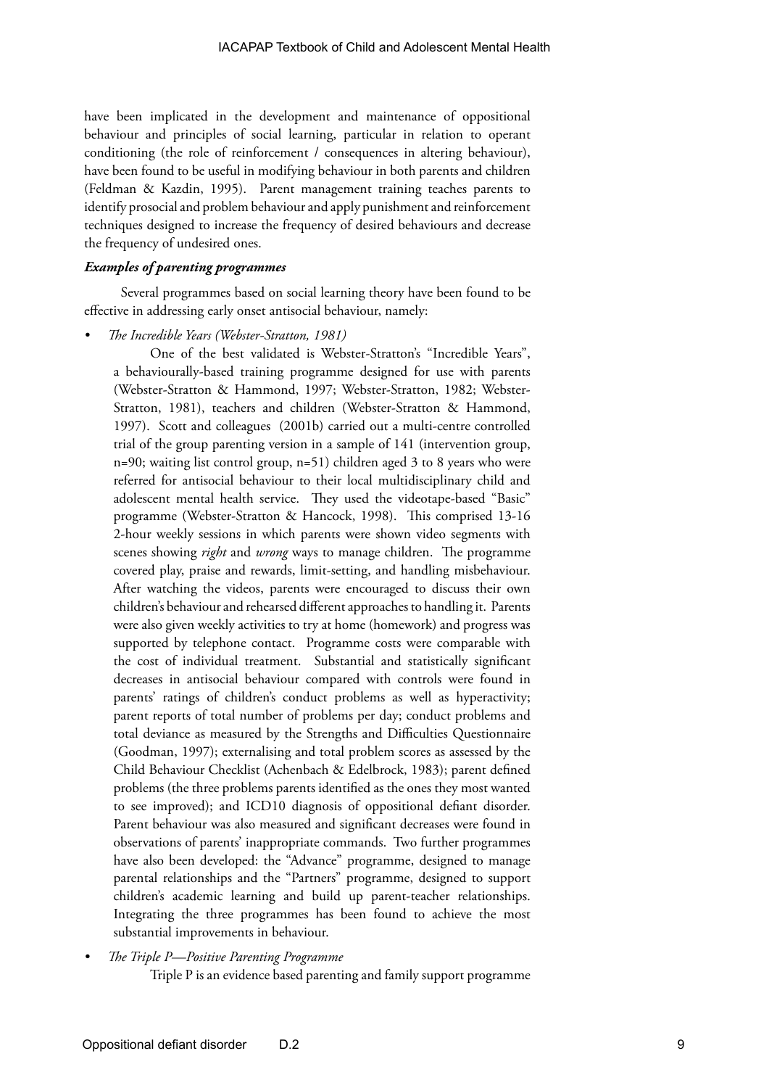have been implicated in the development and maintenance of oppositional behaviour and principles of social learning, particular in relation to operant conditioning (the role of reinforcement / consequences in altering behaviour), have been found to be useful in modifying behaviour in both parents and children (Feldman & Kazdin, 1995). Parent management training teaches parents to identify prosocial and problem behaviour and apply punishment and reinforcement techniques designed to increase the frequency of desired behaviours and decrease the frequency of undesired ones.

### *Examples of parenting programmes*

Several programmes based on social learning theory have been found to be effective in addressing early onset antisocial behaviour, namely:

*• The Incredible Years (Webster-Stratton, 1981)*

One of the best validated is Webster-Stratton's "Incredible Years", a behaviourally-based training programme designed for use with parents (Webster-Stratton & Hammond, 1997; Webster-Stratton, 1982; Webster-Stratton, 1981), teachers and children (Webster-Stratton & Hammond, 1997). Scott and colleagues (2001b) carried out a multi-centre controlled trial of the group parenting version in a sample of 141 (intervention group, n=90; waiting list control group, n=51) children aged 3 to 8 years who were referred for antisocial behaviour to their local multidisciplinary child and adolescent mental health service. They used the videotape-based "Basic" programme (Webster-Stratton & Hancock, 1998). This comprised 13-16 2-hour weekly sessions in which parents were shown video segments with scenes showing *right* and *wrong* ways to manage children. The programme covered play, praise and rewards, limit-setting, and handling misbehaviour. After watching the videos, parents were encouraged to discuss their own children's behaviour and rehearsed different approaches to handling it. Parents were also given weekly activities to try at home (homework) and progress was supported by telephone contact. Programme costs were comparable with the cost of individual treatment. Substantial and statistically significant decreases in antisocial behaviour compared with controls were found in parents' ratings of children's conduct problems as well as hyperactivity; parent reports of total number of problems per day; conduct problems and total deviance as measured by the Strengths and Difficulties Questionnaire (Goodman, 1997); externalising and total problem scores as assessed by the Child Behaviour Checklist (Achenbach & Edelbrock, 1983); parent defined problems (the three problems parents identified as the ones they most wanted to see improved); and ICD10 diagnosis of oppositional defiant disorder. Parent behaviour was also measured and significant decreases were found in observations of parents' inappropriate commands. Two further programmes have also been developed: the "Advance" programme, designed to manage parental relationships and the "Partners" programme, designed to support children's academic learning and build up parent-teacher relationships. Integrating the three programmes has been found to achieve the most substantial improvements in behaviour.

*• The Triple P—Positive Parenting Programme*

Triple P is an evidence based parenting and family support programme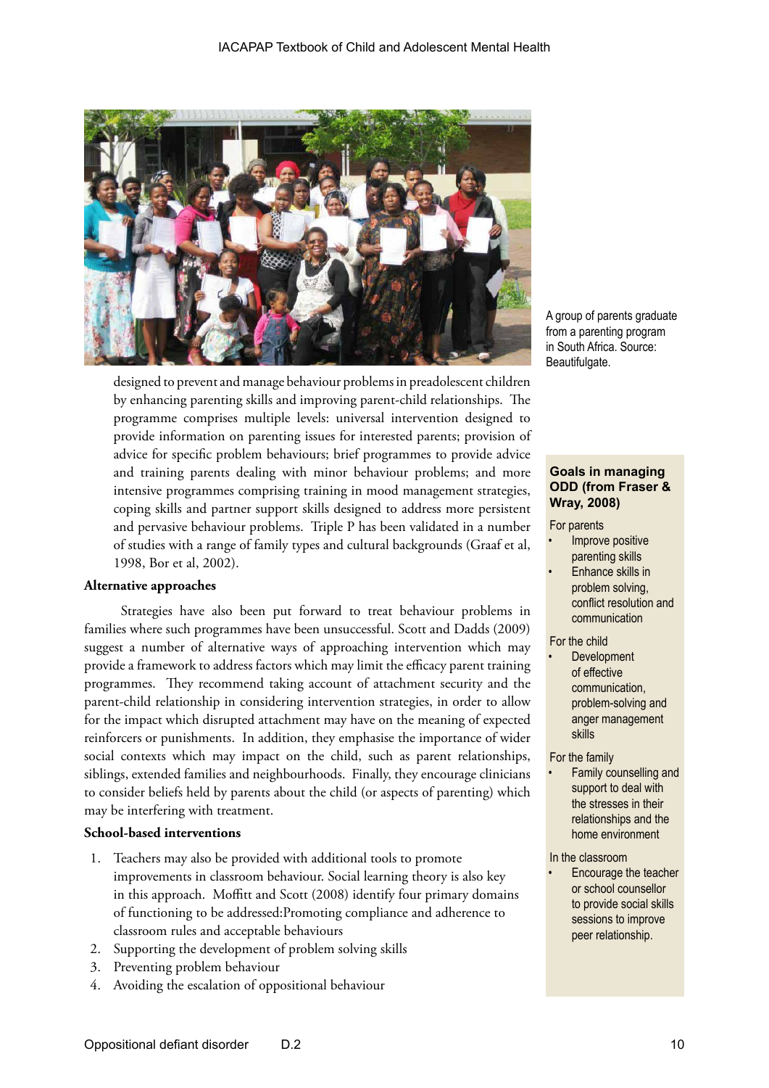

designed to prevent and manage behaviour problems in preadolescent children by enhancing parenting skills and improving parent-child relationships. The programme comprises multiple levels: universal intervention designed to provide information on parenting issues for interested parents; provision of advice for specific problem behaviours; brief programmes to provide advice and training parents dealing with minor behaviour problems; and more intensive programmes comprising training in mood management strategies, coping skills and partner support skills designed to address more persistent and pervasive behaviour problems. Triple P has been validated in a number of studies with a range of family types and cultural backgrounds (Graaf et al, 1998, Bor et al, 2002).

### **Alternative approaches**

Strategies have also been put forward to treat behaviour problems in families where such programmes have been unsuccessful. Scott and Dadds (2009) suggest a number of alternative ways of approaching intervention which may provide a framework to address factors which may limit the efficacy parent training programmes. They recommend taking account of attachment security and the parent-child relationship in considering intervention strategies, in order to allow for the impact which disrupted attachment may have on the meaning of expected reinforcers or punishments. In addition, they emphasise the importance of wider social contexts which may impact on the child, such as parent relationships, siblings, extended families and neighbourhoods. Finally, they encourage clinicians to consider beliefs held by parents about the child (or aspects of parenting) which may be interfering with treatment.

### **School-based interventions**

- 1. Teachers may also be provided with additional tools to promote improvements in classroom behaviour. Social learning theory is also key in this approach. Moffitt and Scott (2008) identify four primary domains of functioning to be addressed:Promoting compliance and adherence to classroom rules and acceptable behaviours
- 2. Supporting the development of problem solving skills
- 3. Preventing problem behaviour
- 4. Avoiding the escalation of oppositional behaviour

A group of parents graduate from a parenting program in South Africa. Source: Beautifulgate.

### **Goals in managing ODD (from Fraser & Wray, 2008)**

#### For parents

- Improve positive parenting skills
- Enhance skills in problem solving, conflict resolution and communication

#### For the child

**Development** of effective communication, problem-solving and anger management skills

#### For the family

• Family counselling and support to deal with the stresses in their relationships and the home environment

#### In the classroom

• Encourage the teacher or school counsellor to provide social skills sessions to improve peer relationship.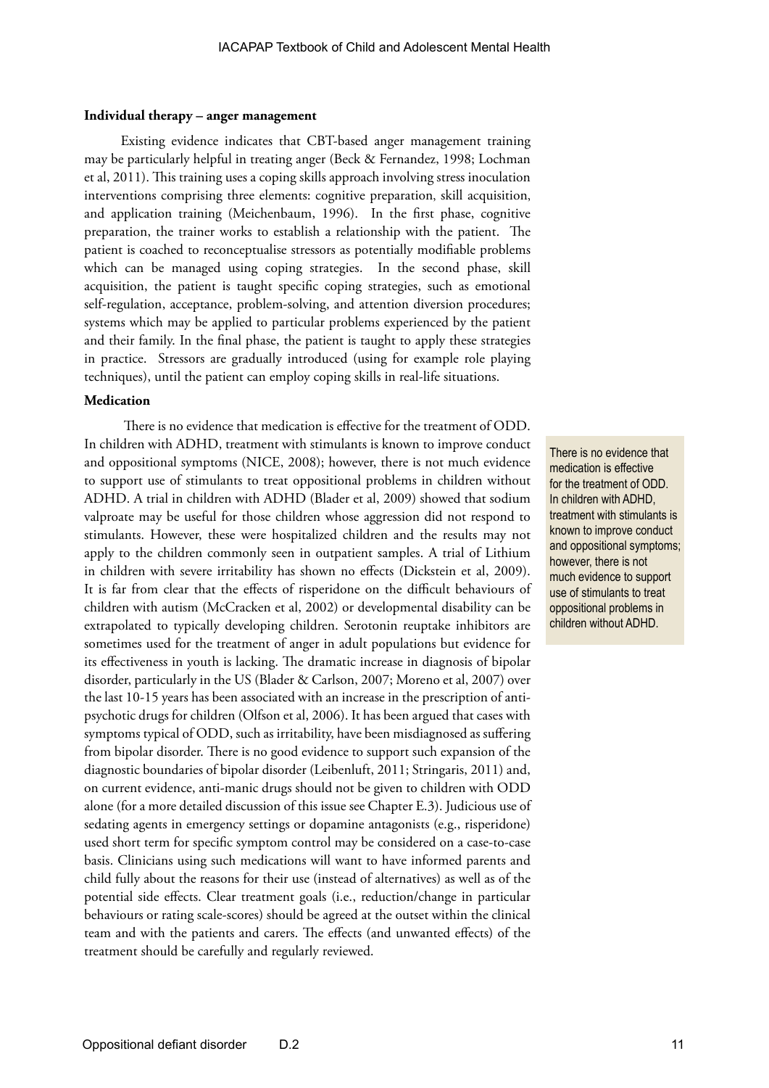#### **Individual therapy – anger management**

Existing evidence indicates that CBT-based anger management training may be particularly helpful in treating anger (Beck & Fernandez, 1998; Lochman et al, 2011). This training uses a coping skills approach involving stress inoculation interventions comprising three elements: cognitive preparation, skill acquisition, and application training (Meichenbaum, 1996). In the first phase, cognitive preparation, the trainer works to establish a relationship with the patient. The patient is coached to reconceptualise stressors as potentially modifiable problems which can be managed using coping strategies. In the second phase, skill acquisition, the patient is taught specific coping strategies, such as emotional self-regulation, acceptance, problem-solving, and attention diversion procedures; systems which may be applied to particular problems experienced by the patient and their family. In the final phase, the patient is taught to apply these strategies in practice. Stressors are gradually introduced (using for example role playing techniques), until the patient can employ coping skills in real-life situations.

### **Medication**

 There is no evidence that medication is effective for the treatment of ODD. In children with ADHD, treatment with stimulants is known to improve conduct and oppositional symptoms (NICE, 2008); however, there is not much evidence to support use of stimulants to treat oppositional problems in children without ADHD. A trial in children with ADHD (Blader et al, 2009) showed that sodium valproate may be useful for those children whose aggression did not respond to stimulants. However, these were hospitalized children and the results may not apply to the children commonly seen in outpatient samples. A trial of Lithium in children with severe irritability has shown no effects (Dickstein et al, 2009). It is far from clear that the effects of risperidone on the difficult behaviours of children with autism (McCracken et al, 2002) or developmental disability can be extrapolated to typically developing children. Serotonin reuptake inhibitors are sometimes used for the treatment of anger in adult populations but evidence for its effectiveness in youth is lacking. The dramatic increase in diagnosis of bipolar disorder, particularly in the US (Blader & Carlson, 2007; Moreno et al, 2007) over the last 10-15 years has been associated with an increase in the prescription of antipsychotic drugs for children (Olfson et al, 2006). It has been argued that cases with symptoms typical of ODD, such as irritability, have been misdiagnosed as suffering from bipolar disorder. There is no good evidence to support such expansion of the diagnostic boundaries of bipolar disorder (Leibenluft, 2011; Stringaris, 2011) and, on current evidence, anti-manic drugs should not be given to children with ODD alone (for a more detailed discussion of this issue see Chapter E.3). Judicious use of sedating agents in emergency settings or dopamine antagonists (e.g., risperidone) used short term for specific symptom control may be considered on a case-to-case basis. Clinicians using such medications will want to have informed parents and child fully about the reasons for their use (instead of alternatives) as well as of the potential side effects. Clear treatment goals (i.e., reduction/change in particular behaviours or rating scale-scores) should be agreed at the outset within the clinical team and with the patients and carers. The effects (and unwanted effects) of the treatment should be carefully and regularly reviewed.

There is no evidence that medication is effective for the treatment of ODD. In children with ADHD, treatment with stimulants is known to improve conduct and oppositional symptoms; however, there is not much evidence to support use of stimulants to treat oppositional problems in children without ADHD.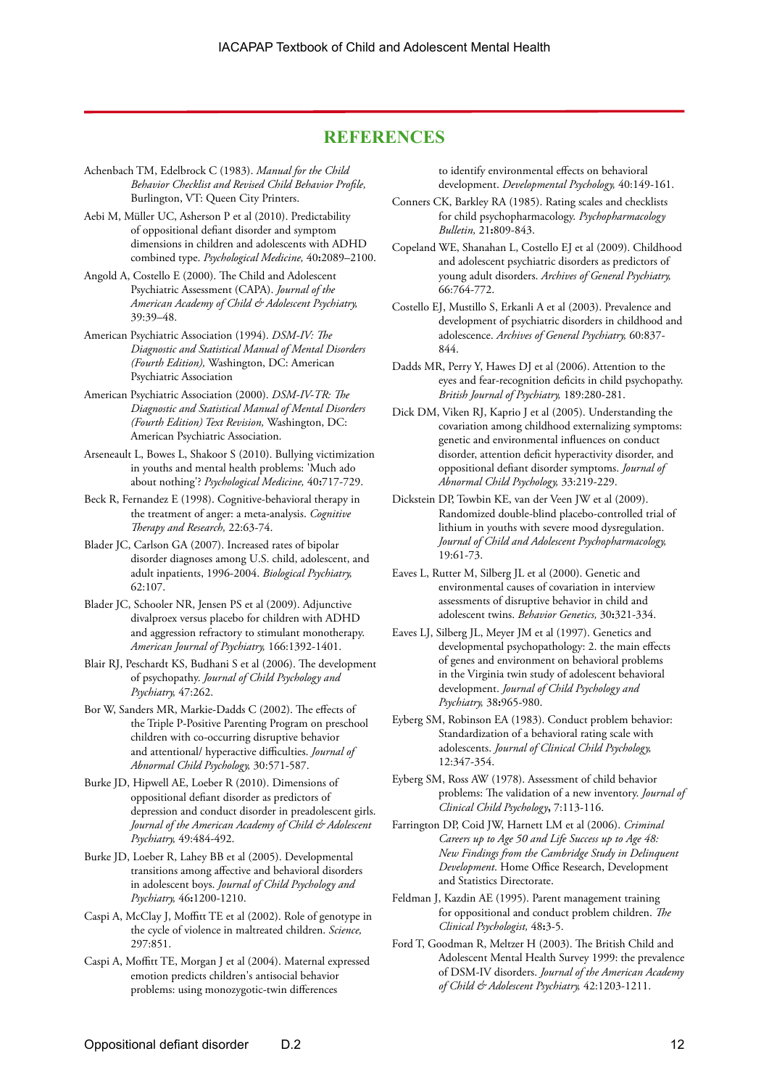### **REFERENCES**

- Achenbach TM, Edelbrock C (1983). *Manual for the Child Behavior Checklist and Revised Child Behavior Profile,*  Burlington, VT: Queen City Printers.
- Aebi M, Müller UC, Asherson P et al (2010). Predictability of oppositional defiant disorder and symptom dimensions in children and adolescents with ADHD combined type. *Psychological Medicine,* 40**:**2089–2100.
- Angold A, Costello E (2000). The Child and Adolescent Psychiatric Assessment (CAPA). *Journal of the American Academy of Child & Adolescent Psychiatry,* 39:39–48.
- American Psychiatric Association (1994). *DSM-IV: The Diagnostic and Statistical Manual of Mental Disorders (Fourth Edition),* Washington, DC: American Psychiatric Association
- American Psychiatric Association (2000). *DSM-IV-TR: The Diagnostic and Statistical Manual of Mental Disorders (Fourth Edition) Text Revision,* Washington, DC: American Psychiatric Association.
- Arseneault L, Bowes L, Shakoor S (2010). Bullying victimization in youths and mental health problems: 'Much ado about nothing'? *Psychological Medicine,* 40**:**717-729.
- Beck R, Fernandez E (1998). Cognitive-behavioral therapy in the treatment of anger: a meta-analysis. *Cognitive Therapy and Research,* 22:63-74.
- Blader JC, Carlson GA (2007). Increased rates of bipolar disorder diagnoses among U.S. child, adolescent, and adult inpatients, 1996-2004. *Biological Psychiatry,* 62:107.
- Blader JC, Schooler NR, Jensen PS et al (2009). Adjunctive divalproex versus placebo for children with ADHD and aggression refractory to stimulant monotherapy. *American Journal of Psychiatry,* 166:1392-1401.
- Blair RJ, Peschardt KS, Budhani S et al (2006). The development of psychopathy. *Journal of Child Psychology and Psychiatry,* 47:262.
- Bor W, Sanders MR, Markie-Dadds C (2002). The effects of the Triple P-Positive Parenting Program on preschool children with co-occurring disruptive behavior and attentional/ hyperactive difficulties. *Journal of Abnormal Child Psychology,* 30:571-587.
- Burke JD, Hipwell AE, Loeber R (2010). Dimensions of oppositional defiant disorder as predictors of depression and conduct disorder in preadolescent girls. *Journal of the American Academy of Child & Adolescent Psychiatry,* 49:484-492.
- Burke JD, Loeber R, Lahey BB et al (2005). Developmental transitions among affective and behavioral disorders in adolescent boys. *Journal of Child Psychology and Psychiatry,* 46**:**1200-1210.
- Caspi A, McClay J, Moffitt TE et al (2002). Role of genotype in the cycle of violence in maltreated children. *Science,* 297:851.
- Caspi A, Moffitt TE, Morgan J et al (2004). Maternal expressed emotion predicts children's antisocial behavior problems: using monozygotic-twin differences

to identify environmental effects on behavioral development. *Developmental Psychology,* 40:149-161.

- Conners CK, Barkley RA (1985). Rating scales and checklists for child psychopharmacology. *Psychopharmacology Bulletin,* 21**:**809-843.
- Copeland WE, Shanahan L, Costello EJ et al (2009). Childhood and adolescent psychiatric disorders as predictors of young adult disorders. *Archives of General Psychiatry,* 66:764-772.
- Costello EJ, Mustillo S, Erkanli A et al (2003). Prevalence and development of psychiatric disorders in childhood and adolescence. *Archives of General Psychiatry,* 60:837- 844.
- Dadds MR, Perry Y, Hawes DJ et al (2006). Attention to the eyes and fear-recognition deficits in child psychopathy. *British Journal of Psychiatry,* 189:280-281.
- Dick DM, Viken RJ, Kaprio J et al (2005). Understanding the covariation among childhood externalizing symptoms: genetic and environmental influences on conduct disorder, attention deficit hyperactivity disorder, and oppositional defiant disorder symptoms. *Journal of Abnormal Child Psychology,* 33:219-229.
- Dickstein DP, Towbin KE, van der Veen JW et al (2009). Randomized double-blind placebo-controlled trial of lithium in youths with severe mood dysregulation. *Journal of Child and Adolescent Psychopharmacology,* 19:61-73.
- Eaves L, Rutter M, Silberg JL et al (2000). Genetic and environmental causes of covariation in interview assessments of disruptive behavior in child and adolescent twins. *Behavior Genetics,* 30**:**321-334.
- Eaves LJ, Silberg JL, Meyer JM et al (1997). Genetics and developmental psychopathology: 2. the main effects of genes and environment on behavioral problems in the Virginia twin study of adolescent behavioral development. *Journal of Child Psychology and Psychiatry,* 38**:**965-980.
- Eyberg SM, Robinson EA (1983). Conduct problem behavior: Standardization of a behavioral rating scale with adolescents. *Journal of Clinical Child Psychology,* 12:347-354.
- Eyberg SM, Ross AW (1978). Assessment of child behavior problems: The validation of a new inventory. *Journal of Clinical Child Psychology***,** 7:113-116.
- Farrington DP, Coid JW, Harnett LM et al (2006). *Criminal Careers up to Age 50 and Life Success up to Age 48: New Findings from the Cambridge Study in Delinquent Development*. Home Office Research, Development and Statistics Directorate.
- Feldman J, Kazdin AE (1995). Parent management training for oppositional and conduct problem children. *The Clinical Psychologist,* 48**:**3-5.
- Ford T, Goodman R, Meltzer H (2003). The British Child and Adolescent Mental Health Survey 1999: the prevalence of DSM-IV disorders. *Journal of the American Academy of Child & Adolescent Psychiatry,* 42:1203-1211.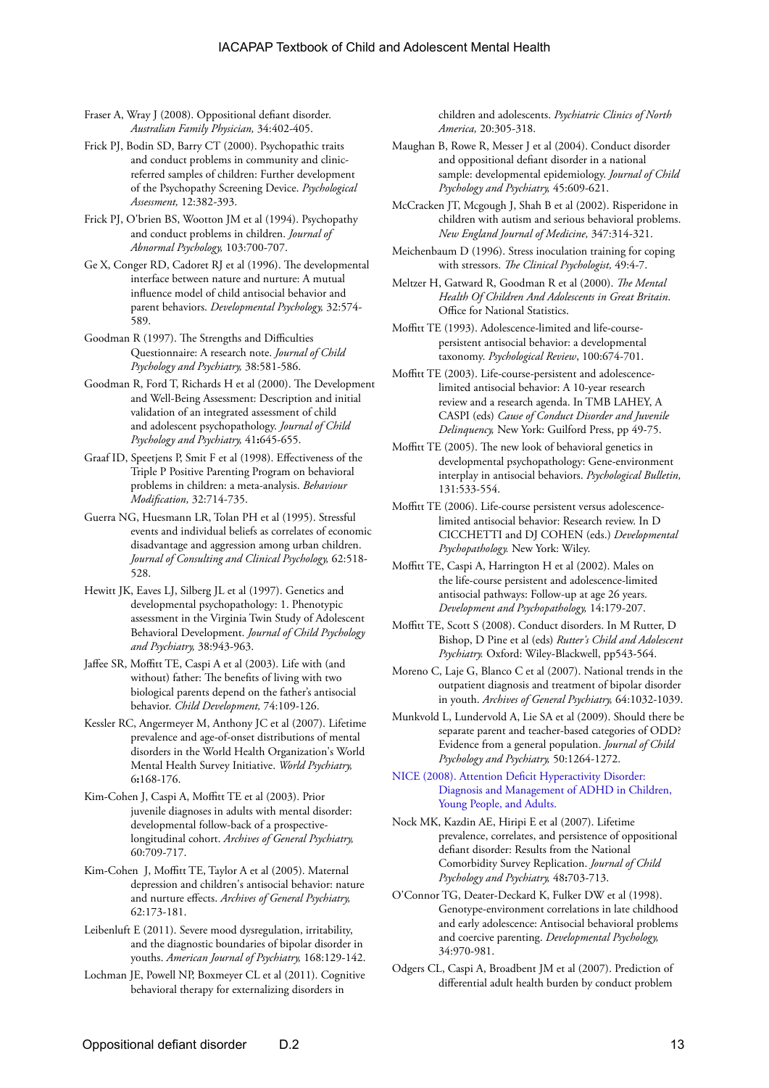Fraser A, Wray J (2008). Oppositional defiant disorder. *Australian Family Physician,* 34:402-405.

- Frick PJ, Bodin SD, Barry CT (2000). Psychopathic traits and conduct problems in community and clinicreferred samples of children: Further development of the Psychopathy Screening Device. *Psychological Assessment,* 12:382-393.
- Frick PJ, O'brien BS, Wootton JM et al (1994). Psychopathy and conduct problems in children. *Journal of Abnormal Psychology,* 103:700-707.
- Ge X, Conger RD, Cadoret RJ et al (1996). The developmental interface between nature and nurture: A mutual influence model of child antisocial behavior and parent behaviors. *Developmental Psychology,* 32:574- 589.
- Goodman R (1997). The Strengths and Difficulties Questionnaire: A research note. *Journal of Child Psychology and Psychiatry,* 38:581-586.
- Goodman R, Ford T, Richards H et al (2000). The Development and Well-Being Assessment: Description and initial validation of an integrated assessment of child and adolescent psychopathology. *Journal of Child Psychology and Psychiatry,* 41**:**645-655.
- Graaf ID, Speetjens P, Smit F et al (1998). Effectiveness of the Triple P Positive Parenting Program on behavioral problems in children: a meta-analysis. *Behaviour Modification,* 32:714-735.
- Guerra NG, Huesmann LR, Tolan PH et al (1995). Stressful events and individual beliefs as correlates of economic disadvantage and aggression among urban children. *Journal of Consulting and Clinical Psychology,* 62:518- 528.
- Hewitt JK, Eaves LJ, Silberg JL et al (1997). Genetics and developmental psychopathology: 1. Phenotypic assessment in the Virginia Twin Study of Adolescent Behavioral Development. *Journal of Child Psychology and Psychiatry,* 38:943-963.
- Jaffee SR, Moffitt TE, Caspi A et al (2003). Life with (and without) father: The benefits of living with two biological parents depend on the father's antisocial behavior. *Child Development,* 74:109-126.
- Kessler RC, Angermeyer M, Anthony JC et al (2007). Lifetime prevalence and age-of-onset distributions of mental disorders in the World Health Organization's World Mental Health Survey Initiative. *World Psychiatry,* 6**:**168-176.
- Kim-Cohen J, Caspi A, Moffitt TE et al (2003). Prior juvenile diagnoses in adults with mental disorder: developmental follow-back of a prospectivelongitudinal cohort. *Archives of General Psychiatry,* 60:709-717.
- Kim-Cohen J, Moffitt TE, Taylor A et al (2005). Maternal depression and children's antisocial behavior: nature and nurture effects. *Archives of General Psychiatry,* 62:173-181.
- Leibenluft E (2011). Severe mood dysregulation, irritability, and the diagnostic boundaries of bipolar disorder in youths. *American Journal of Psychiatry,* 168:129-142.
- Lochman JE, Powell NP, Boxmeyer CL et al (2011). Cognitive behavioral therapy for externalizing disorders in

children and adolescents. *Psychiatric Clinics of North America,* 20:305-318.

- Maughan B, Rowe R, Messer J et al (2004). Conduct disorder and oppositional defiant disorder in a national sample: developmental epidemiology. *Journal of Child Psychology and Psychiatry,* 45:609-621.
- McCracken JT, Mcgough J, Shah B et al (2002). Risperidone in children with autism and serious behavioral problems. *New England Journal of Medicine,* 347:314-321.
- Meichenbaum D (1996). Stress inoculation training for coping with stressors. *The Clinical Psychologist,* 49:4-7.
- Meltzer H, Gatward R, Goodman R et al (2000). *The Mental Health Of Children And Adolescents in Great Britain*. Office for National Statistics.
- Moffitt TE (1993). Adolescence-limited and life-coursepersistent antisocial behavior: a developmental taxonomy. *Psychological Review*, 100:674-701.
- Moffitt TE (2003). Life-course-persistent and adolescencelimited antisocial behavior: A 10-year research review and a research agenda. In TMB LAHEY, A CASPI (eds) *Cause of Conduct Disorder and Juvenile Delinquency,* New York: Guilford Press, pp 49-75.
- Moffitt TE (2005). The new look of behavioral genetics in developmental psychopathology: Gene-environment interplay in antisocial behaviors. *Psychological Bulletin,* 131:533-554.
- Moffitt TE (2006). Life-course persistent versus adolescencelimited antisocial behavior: Research review. In D CICCHETTI and DJ COHEN (eds.) *Developmental Psychopathology.* New York: Wiley.
- Moffitt TE, Caspi A, Harrington H et al (2002). Males on the life-course persistent and adolescence-limited antisocial pathways: Follow-up at age 26 years. *Development and Psychopathology,* 14:179-207.
- Moffitt TE, Scott S (2008). Conduct disorders. In M Rutter, D Bishop, D Pine et al (eds) *Rutter's Child and Adolescent Psychiatry.* Oxford: Wiley-Blackwell, pp543-564.
- Moreno C, Laje G, Blanco C et al (2007). National trends in the outpatient diagnosis and treatment of bipolar disorder in youth. *Archives of General Psychiatry,* 64:1032-1039.
- Munkvold L, Lundervold A, Lie SA et al (2009). Should there be separate parent and teacher-based categories of ODD? Evidence from a general population. *Journal of Child Psychology and Psychiatry,* 50:1264-1272.

[NICE \(2008\). Attention Deficit Hyperactivity Disorder:](http://www.nice.org.uk/CG72)  [Diagnosis and Management of ADHD in Children,](http://www.nice.org.uk/CG72)  [Young People, and Adults.](http://www.nice.org.uk/CG72)

- Nock MK, Kazdin AE, Hiripi E et al (2007). Lifetime prevalence, correlates, and persistence of oppositional defiant disorder: Results from the National Comorbidity Survey Replication. *Journal of Child Psychology and Psychiatry,* 48**:**703-713.
- O'Connor TG, Deater-Deckard K, Fulker DW et al (1998). Genotype-environment correlations in late childhood and early adolescence: Antisocial behavioral problems and coercive parenting. *Developmental Psychology,* 34:970-981.
- Odgers CL, Caspi A, Broadbent JM et al (2007). Prediction of differential adult health burden by conduct problem